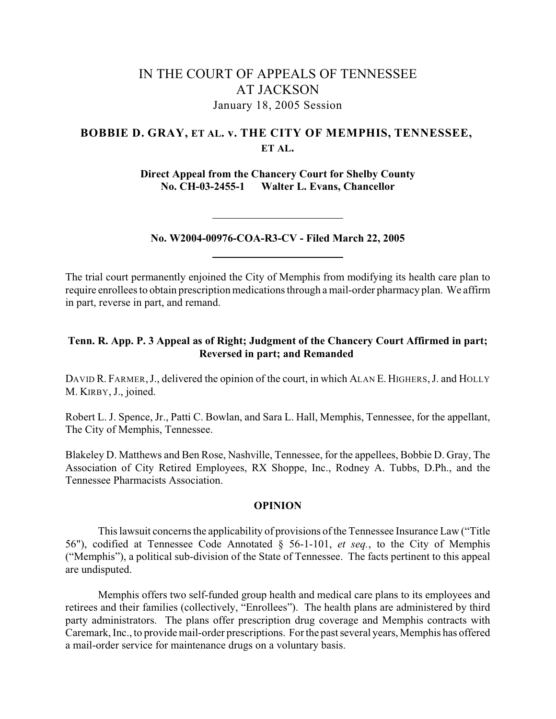# IN THE COURT OF APPEALS OF TENNESSEE AT JACKSON January 18, 2005 Session

# **BOBBIE D. GRAY, ET AL. v. THE CITY OF MEMPHIS, TENNESSEE, ET AL.**

**Direct Appeal from the Chancery Court for Shelby County No. CH-03-2455-1 Walter L. Evans, Chancellor**

**No. W2004-00976-COA-R3-CV - Filed March 22, 2005**

The trial court permanently enjoined the City of Memphis from modifying its health care plan to require enrollees to obtain prescription medications through a mail-order pharmacy plan. We affirm in part, reverse in part, and remand.

# **Tenn. R. App. P. 3 Appeal as of Right; Judgment of the Chancery Court Affirmed in part; Reversed in part; and Remanded**

DAVID R. FARMER, J., delivered the opinion of the court, in which ALAN E. HIGHERS, J. and HOLLY M. KIRBY, J., joined.

Robert L. J. Spence, Jr., Patti C. Bowlan, and Sara L. Hall, Memphis, Tennessee, for the appellant, The City of Memphis, Tennessee.

Blakeley D. Matthews and Ben Rose, Nashville, Tennessee, for the appellees, Bobbie D. Gray, The Association of City Retired Employees, RX Shoppe, Inc., Rodney A. Tubbs, D.Ph., and the Tennessee Pharmacists Association.

#### **OPINION**

This lawsuit concerns the applicability of provisions of the Tennessee Insurance Law ("Title 56"), codified at Tennessee Code Annotated § 56-1-101, *et seq.*, to the City of Memphis ("Memphis"), a political sub-division of the State of Tennessee. The facts pertinent to this appeal are undisputed.

Memphis offers two self-funded group health and medical care plans to its employees and retirees and their families (collectively, "Enrollees"). The health plans are administered by third party administrators. The plans offer prescription drug coverage and Memphis contracts with Caremark, Inc., to provide mail-order prescriptions. For the past several years, Memphis has offered a mail-order service for maintenance drugs on a voluntary basis.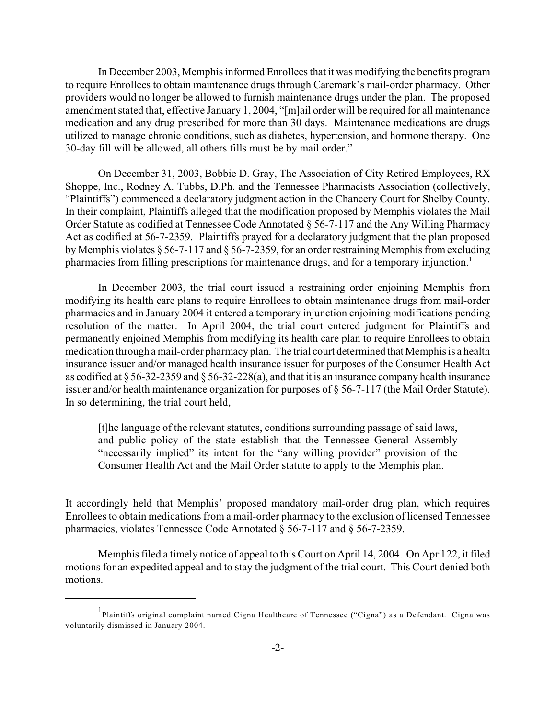In December 2003, Memphis informed Enrollees that it was modifying the benefits program to require Enrollees to obtain maintenance drugs through Caremark's mail-order pharmacy. Other providers would no longer be allowed to furnish maintenance drugs under the plan. The proposed amendment stated that, effective January 1, 2004, "[m]ail order will be required for all maintenance medication and any drug prescribed for more than 30 days. Maintenance medications are drugs utilized to manage chronic conditions, such as diabetes, hypertension, and hormone therapy. One 30-day fill will be allowed, all others fills must be by mail order."

On December 31, 2003, Bobbie D. Gray, The Association of City Retired Employees, RX Shoppe, Inc., Rodney A. Tubbs, D.Ph. and the Tennessee Pharmacists Association (collectively, "Plaintiffs") commenced a declaratory judgment action in the Chancery Court for Shelby County. In their complaint, Plaintiffs alleged that the modification proposed by Memphis violates the Mail Order Statute as codified at Tennessee Code Annotated § 56-7-117 and the Any Willing Pharmacy Act as codified at 56-7-2359. Plaintiffs prayed for a declaratory judgment that the plan proposed by Memphis violates § 56-7-117 and § 56-7-2359, for an order restraining Memphis from excluding pharmacies from filling prescriptions for maintenance drugs, and for a temporary injunction.<sup>1</sup>

In December 2003, the trial court issued a restraining order enjoining Memphis from modifying its health care plans to require Enrollees to obtain maintenance drugs from mail-order pharmacies and in January 2004 it entered a temporary injunction enjoining modifications pending resolution of the matter. In April 2004, the trial court entered judgment for Plaintiffs and permanently enjoined Memphis from modifying its health care plan to require Enrollees to obtain medication through a mail-order pharmacy plan. The trial court determined that Memphis is a health insurance issuer and/or managed health insurance issuer for purposes of the Consumer Health Act as codified at § 56-32-2359 and § 56-32-228(a), and that it is an insurance company health insurance issuer and/or health maintenance organization for purposes of § 56-7-117 (the Mail Order Statute). In so determining, the trial court held,

[t]he language of the relevant statutes, conditions surrounding passage of said laws, and public policy of the state establish that the Tennessee General Assembly "necessarily implied" its intent for the "any willing provider" provision of the Consumer Health Act and the Mail Order statute to apply to the Memphis plan.

It accordingly held that Memphis' proposed mandatory mail-order drug plan, which requires Enrollees to obtain medications from a mail-order pharmacy to the exclusion of licensed Tennessee pharmacies, violates Tennessee Code Annotated § 56-7-117 and § 56-7-2359.

Memphis filed a timely notice of appeal to this Court on April 14, 2004. On April 22, it filed motions for an expedited appeal and to stay the judgment of the trial court. This Court denied both motions.

<sup>&</sup>lt;sup>1</sup>Plaintiffs original complaint named Cigna Healthcare of Tennessee ("Cigna") as a Defendant. Cigna was voluntarily dismissed in January 2004.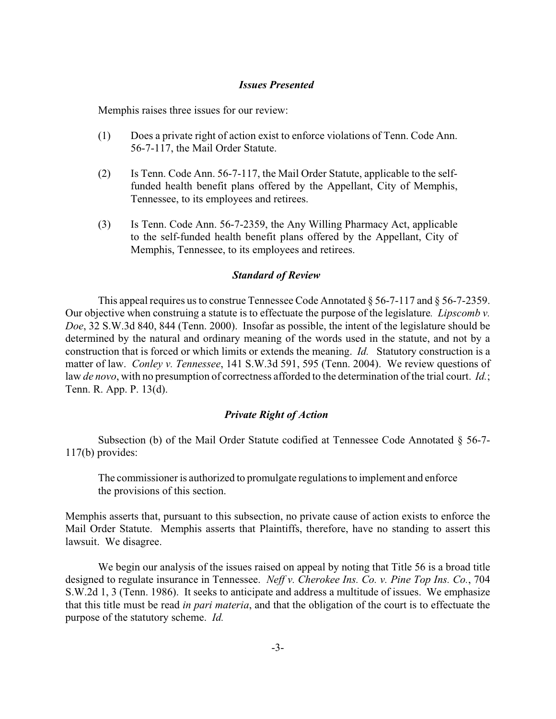### *Issues Presented*

Memphis raises three issues for our review:

- (1) Does a private right of action exist to enforce violations of Tenn. Code Ann. 56-7-117, the Mail Order Statute.
- (2) Is Tenn. Code Ann. 56-7-117, the Mail Order Statute, applicable to the selffunded health benefit plans offered by the Appellant, City of Memphis, Tennessee, to its employees and retirees.
- (3) Is Tenn. Code Ann. 56-7-2359, the Any Willing Pharmacy Act, applicable to the self-funded health benefit plans offered by the Appellant, City of Memphis, Tennessee, to its employees and retirees.

### *Standard of Review*

This appeal requires us to construe Tennessee Code Annotated § 56-7-117 and § 56-7-2359. Our objective when construing a statute is to effectuate the purpose of the legislature*. Lipscomb v. Doe*, 32 S.W.3d 840, 844 (Tenn. 2000). Insofar as possible, the intent of the legislature should be determined by the natural and ordinary meaning of the words used in the statute, and not by a construction that is forced or which limits or extends the meaning. *Id.* Statutory construction is a matter of law. *Conley v. Tennessee*, 141 S.W.3d 591, 595 (Tenn. 2004). We review questions of law *de novo*, with no presumption of correctness afforded to the determination of the trial court. *Id.*; Tenn. R. App. P. 13(d).

### *Private Right of Action*

Subsection (b) of the Mail Order Statute codified at Tennessee Code Annotated § 56-7- 117(b) provides:

The commissioner is authorized to promulgate regulations to implement and enforce the provisions of this section.

Memphis asserts that, pursuant to this subsection, no private cause of action exists to enforce the Mail Order Statute. Memphis asserts that Plaintiffs, therefore, have no standing to assert this lawsuit. We disagree.

We begin our analysis of the issues raised on appeal by noting that Title 56 is a broad title designed to regulate insurance in Tennessee. *Neff v. Cherokee Ins. Co. v. Pine Top Ins. Co.*, 704 S.W.2d 1, 3 (Tenn. 1986). It seeks to anticipate and address a multitude of issues. We emphasize that this title must be read *in pari materia*, and that the obligation of the court is to effectuate the purpose of the statutory scheme. *Id.*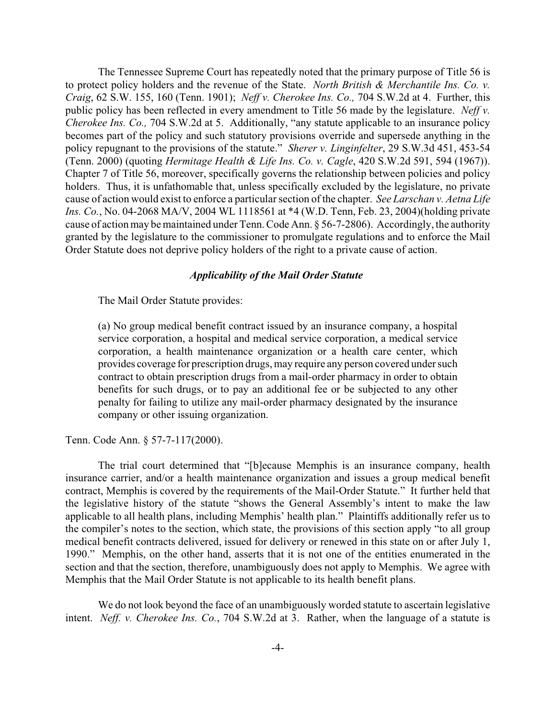The Tennessee Supreme Court has repeatedly noted that the primary purpose of Title 56 is to protect policy holders and the revenue of the State. *North British & Merchantile Ins. Co. v. Craig*, 62 S.W. 155, 160 (Tenn. 1901); *Neff v. Cherokee Ins. Co.,* 704 S.W.2d at 4. Further, this public policy has been reflected in every amendment to Title 56 made by the legislature. *Neff v. Cherokee Ins. Co.,* 704 S.W.2d at 5. Additionally, "any statute applicable to an insurance policy becomes part of the policy and such statutory provisions override and supersede anything in the policy repugnant to the provisions of the statute." *Sherer v. Linginfelter*, 29 S.W.3d 451, 453-54 (Tenn. 2000) (quoting *Hermitage Health & Life Ins. Co. v. Cagle*, 420 S.W.2d 591, 594 (1967)). Chapter 7 of Title 56, moreover, specifically governs the relationship between policies and policy holders. Thus, it is unfathomable that, unless specifically excluded by the legislature, no private cause of action would exist to enforce a particular section of the chapter. *See Larschan v. Aetna Life Ins. Co.*, No. 04-2068 MA/V, 2004 WL 1118561 at \*4 (W.D. Tenn, Feb. 23, 2004)(holding private cause of action may be maintained under Tenn. Code Ann. § 56-7-2806). Accordingly, the authority granted by the legislature to the commissioner to promulgate regulations and to enforce the Mail Order Statute does not deprive policy holders of the right to a private cause of action.

## *Applicability of the Mail Order Statute*

The Mail Order Statute provides:

(a) No group medical benefit contract issued by an insurance company, a hospital service corporation, a hospital and medical service corporation, a medical service corporation, a health maintenance organization or a health care center, which provides coverage for prescription drugs, may require any person covered under such contract to obtain prescription drugs from a mail-order pharmacy in order to obtain benefits for such drugs, or to pay an additional fee or be subjected to any other penalty for failing to utilize any mail-order pharmacy designated by the insurance company or other issuing organization.

Tenn. Code Ann. § 57-7-117(2000).

The trial court determined that "[b]ecause Memphis is an insurance company, health insurance carrier, and/or a health maintenance organization and issues a group medical benefit contract, Memphis is covered by the requirements of the Mail-Order Statute." It further held that the legislative history of the statute "shows the General Assembly's intent to make the law applicable to all health plans, including Memphis' health plan." Plaintiffs additionally refer us to the compiler's notes to the section, which state, the provisions of this section apply "to all group medical benefit contracts delivered, issued for delivery or renewed in this state on or after July 1, 1990." Memphis, on the other hand, asserts that it is not one of the entities enumerated in the section and that the section, therefore, unambiguously does not apply to Memphis. We agree with Memphis that the Mail Order Statute is not applicable to its health benefit plans.

We do not look beyond the face of an unambiguously worded statute to ascertain legislative intent. *Neff. v. Cherokee Ins. Co.*, 704 S.W.2d at 3. Rather, when the language of a statute is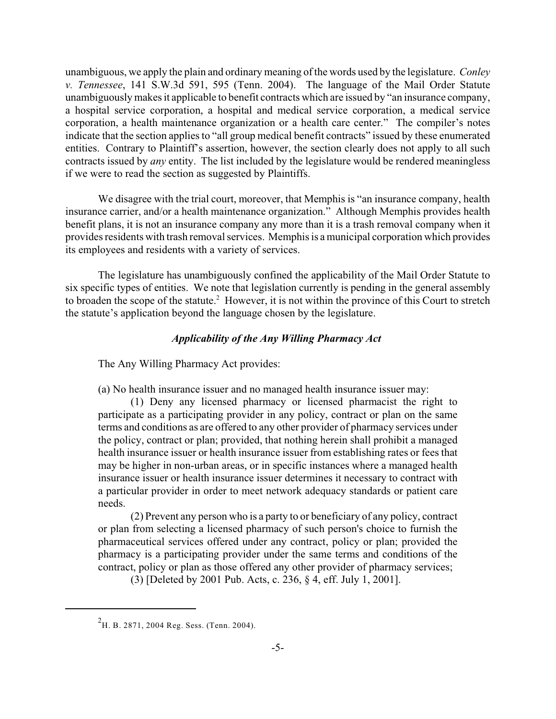unambiguous, we apply the plain and ordinary meaning of the words used by the legislature. *Conley v. Tennessee*, 141 S.W.3d 591, 595 (Tenn. 2004). The language of the Mail Order Statute unambiguously makes it applicable to benefit contracts which are issued by "an insurance company, a hospital service corporation, a hospital and medical service corporation, a medical service corporation, a health maintenance organization or a health care center." The compiler's notes indicate that the section applies to "all group medical benefit contracts" issued by these enumerated entities. Contrary to Plaintiff's assertion, however, the section clearly does not apply to all such contracts issued by *any* entity. The list included by the legislature would be rendered meaningless if we were to read the section as suggested by Plaintiffs.

We disagree with the trial court, moreover, that Memphis is "an insurance company, health insurance carrier, and/or a health maintenance organization." Although Memphis provides health benefit plans, it is not an insurance company any more than it is a trash removal company when it provides residents with trash removal services. Memphis is a municipal corporation which provides its employees and residents with a variety of services.

The legislature has unambiguously confined the applicability of the Mail Order Statute to six specific types of entities. We note that legislation currently is pending in the general assembly to broaden the scope of the statute.<sup>2</sup> However, it is not within the province of this Court to stretch the statute's application beyond the language chosen by the legislature.

### *Applicability of the Any Willing Pharmacy Act*

The Any Willing Pharmacy Act provides:

(a) No health insurance issuer and no managed health insurance issuer may:

(1) Deny any licensed pharmacy or licensed pharmacist the right to participate as a participating provider in any policy, contract or plan on the same terms and conditions as are offered to any other provider of pharmacy services under the policy, contract or plan; provided, that nothing herein shall prohibit a managed health insurance issuer or health insurance issuer from establishing rates or fees that may be higher in non-urban areas, or in specific instances where a managed health insurance issuer or health insurance issuer determines it necessary to contract with a particular provider in order to meet network adequacy standards or patient care needs.

(2) Prevent any person who is a party to or beneficiary of any policy, contract or plan from selecting a licensed pharmacy of such person's choice to furnish the pharmaceutical services offered under any contract, policy or plan; provided the pharmacy is a participating provider under the same terms and conditions of the contract, policy or plan as those offered any other provider of pharmacy services;

(3) [Deleted by 2001 Pub. Acts, c. 236, § 4, eff. July 1, 2001].

 $^{2}$ H. B. 2871, 2004 Reg. Sess. (Tenn. 2004).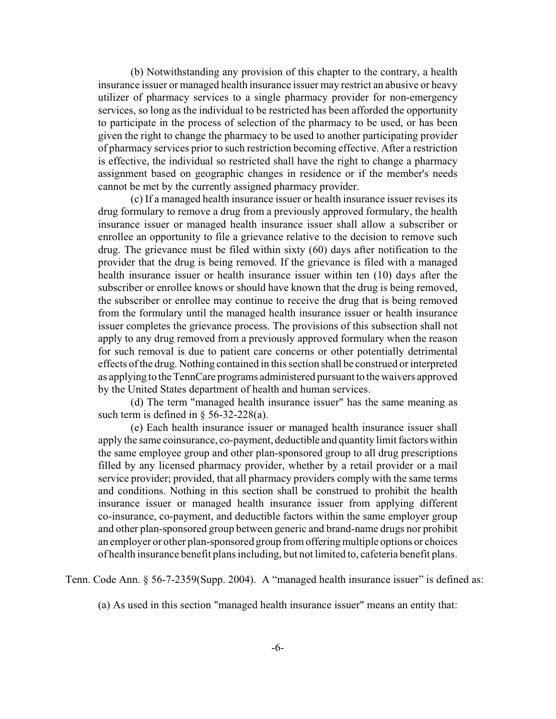(b) Notwithstanding any provision of this chapter to the contrary, a health insurance issuer or managed health insurance issuer may restrict an abusive or heavy utilizer of pharmacy services to a single pharmacy provider for non-emergency services, so long as the individual to be restricted has been afforded the opportunity to participate in the process of selection of the pharmacy to be used, or has been given the right to change the pharmacy to be used to another participating provider of pharmacy services prior to such restriction becoming effective. After a restriction is effective, the individual so restricted shall have the right to change a pharmacy assignment based on geographic changes in residence or if the member's needs cannot be met by the currently assigned pharmacy provider.

(c) If a managed health insurance issuer or health insurance issuer revises its drug formulary to remove a drug from a previously approved formulary, the health insurance issuer or managed health insurance issuer shall allow a subscriber or enrollee an opportunity to file a grievance relative to the decision to remove such drug. The grievance must be filed within sixty (60) days after notification to the provider that the drug is being removed. If the grievance is filed with a managed health insurance issuer or health insurance issuer within ten (10) days after the subscriber or enrollee knows or should have known that the drug is being removed, the subscriber or enrollee may continue to receive the drug that is being removed from the formulary until the managed health insurance issuer or health insurance issuer completes the grievance process. The provisions of this subsection shall not apply to any drug removed from a previously approved formulary when the reason for such removal is due to patient care concerns or other potentially detrimental effects of the drug. Nothing contained in this section shall be construed or interpreted as applying to the TennCare programs administered pursuant to the waivers approved by the United States department of health and human services.

(d) The term "managed health insurance issuer" has the same meaning as such term is defined in  $\S$  56-32-228(a).

(e) Each health insurance issuer or managed health insurance issuer shall apply the same coinsurance, co-payment, deductible and quantity limit factors within the same employee group and other plan-sponsored group to all drug prescriptions filled by any licensed pharmacy provider, whether by a retail provider or a mail service provider; provided, that all pharmacy providers comply with the same terms and conditions. Nothing in this section shall be construed to prohibit the health insurance issuer or managed health insurance issuer from applying different co-insurance, co-payment, and deductible factors within the same employer group and other plan-sponsored group between generic and brand-name drugs nor prohibit an employer or other plan-sponsored group from offering multiple options or choices of health insurance benefit plans including, but not limited to, cafeteria benefit plans.

Tenn. Code Ann. § 56-7-2359(Supp. 2004). A "managed health insurance issuer" is defined as:

(a) As used in this section "managed health insurance issuer" means an entity that: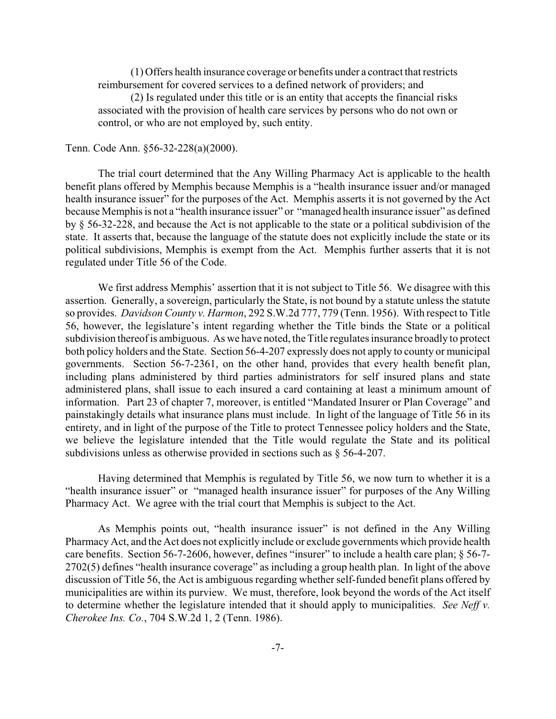(1) Offers health insurance coverage or benefits under a contract that restricts reimbursement for covered services to a defined network of providers; and

(2) Is regulated under this title or is an entity that accepts the financial risks associated with the provision of health care services by persons who do not own or control, or who are not employed by, such entity.

#### Tenn. Code Ann. §56-32-228(a)(2000).

The trial court determined that the Any Willing Pharmacy Act is applicable to the health benefit plans offered by Memphis because Memphis is a "health insurance issuer and/or managed health insurance issuer" for the purposes of the Act. Memphis asserts it is not governed by the Act because Memphis is not a "health insurance issuer" or "managed health insurance issuer" as defined by § 56-32-228, and because the Act is not applicable to the state or a political subdivision of the state. It asserts that, because the language of the statute does not explicitly include the state or its political subdivisions, Memphis is exempt from the Act. Memphis further asserts that it is not regulated under Title 56 of the Code.

We first address Memphis' assertion that it is not subject to Title 56. We disagree with this assertion. Generally, a sovereign, particularly the State, is not bound by a statute unless the statute so provides. *Davidson County v. Harmon*, 292 S.W.2d 777, 779 (Tenn. 1956). With respect to Title 56, however, the legislature's intent regarding whether the Title binds the State or a political subdivision thereof is ambiguous. As we have noted, the Title regulates insurance broadly to protect both policy holders and the State. Section 56-4-207 expressly does not apply to county or municipal governments. Section 56-7-2361, on the other hand, provides that every health benefit plan, including plans administered by third parties administrators for self insured plans and state administered plans, shall issue to each insured a card containing at least a minimum amount of information. Part 23 of chapter 7, moreover, is entitled "Mandated Insurer or Plan Coverage" and painstakingly details what insurance plans must include. In light of the language of Title 56 in its entirety, and in light of the purpose of the Title to protect Tennessee policy holders and the State, we believe the legislature intended that the Title would regulate the State and its political subdivisions unless as otherwise provided in sections such as § 56-4-207.

Having determined that Memphis is regulated by Title 56, we now turn to whether it is a "health insurance issuer" or "managed health insurance issuer" for purposes of the Any Willing Pharmacy Act. We agree with the trial court that Memphis is subject to the Act.

As Memphis points out, "health insurance issuer" is not defined in the Any Willing Pharmacy Act, and the Act does not explicitly include or exclude governments which provide health care benefits. Section 56-7-2606, however, defines "insurer" to include a health care plan; § 56-7- 2702(5) defines "health insurance coverage" as including a group health plan. In light of the above discussion of Title 56, the Act is ambiguous regarding whether self-funded benefit plans offered by municipalities are within its purview. We must, therefore, look beyond the words of the Act itself to determine whether the legislature intended that it should apply to municipalities. *See Neff v. Cherokee Ins. Co.*, 704 S.W.2d 1, 2 (Tenn. 1986).